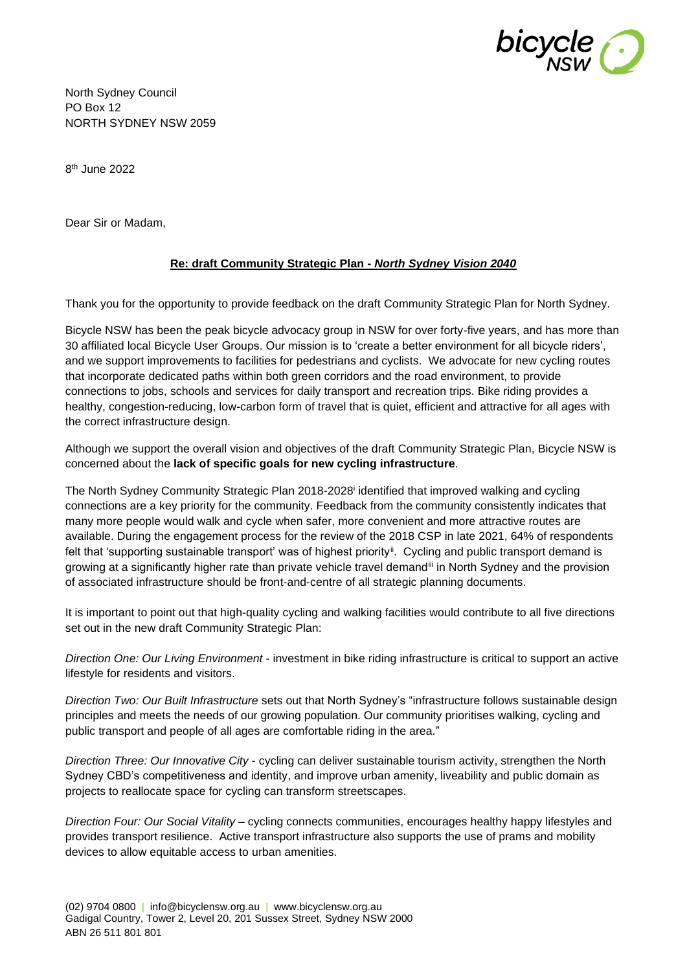

North Sydney Council PO Box 12 NORTH SYDNEY NSW 2059

8 th June 2022

Dear Sir or Madam,

# **Re: draft Community Strategic Plan -** *North Sydney Vision 2040*

Thank you for the opportunity to provide feedback on the draft Community Strategic Plan for North Sydney.

Bicycle NSW has been the peak bicycle advocacy group in NSW for over forty-five years, and has more than 30 affiliated local Bicycle User Groups. Our mission is to 'create a better environment for all bicycle riders', and we support improvements to facilities for pedestrians and cyclists. We advocate for new cycling routes that incorporate dedicated paths within both green corridors and the road environment, to provide connections to jobs, schools and services for daily transport and recreation trips. Bike riding provides a healthy, congestion-reducing, low-carbon form of travel that is quiet, efficient and attractive for all ages with the correct infrastructure design.

Although we support the overall vision and objectives of the draft Community Strategic Plan, Bicycle NSW is concerned about the **lack of specific goals for new cycling infrastructure**.

The North Sydney Community Strategic Plan 2018-2028<sup>i</sup> identified that improved walking and cycling connections are a key priority for the community. Feedback from the community consistently indicates that many more people would walk and cycle when safer, more convenient and more attractive routes are available. During the engagement process for the review of the 2018 CSP in late 2021, 64% of respondents felt that 'supporting sustainable transport' was of highest priorityii. Cycling and public transport demand is growing at a significantly higher rate than private vehicle travel demandiii in North Sydney and the provision of associated infrastructure should be front-and-centre of all strategic planning documents.

It is important to point out that high-quality cycling and walking facilities would contribute to all five directions set out in the new draft Community Strategic Plan:

*Direction One: Our Living Environment* - investment in bike riding infrastructure is critical to support an active lifestyle for residents and visitors.

*Direction Two: Our Built Infrastructure* sets out that North Sydney's "infrastructure follows sustainable design principles and meets the needs of our growing population. Our community prioritises walking, cycling and public transport and people of all ages are comfortable riding in the area."

*Direction Three: Our Innovative City* - cycling can deliver sustainable tourism activity, strengthen the North Sydney CBD's competitiveness and identity, and improve urban amenity, liveability and public domain as projects to reallocate space for cycling can transform streetscapes.

*Direction Four: Our Social Vitality* – cycling connects communities, encourages healthy happy lifestyles and provides transport resilience. Active transport infrastructure also supports the use of prams and mobility devices to allow equitable access to urban amenities.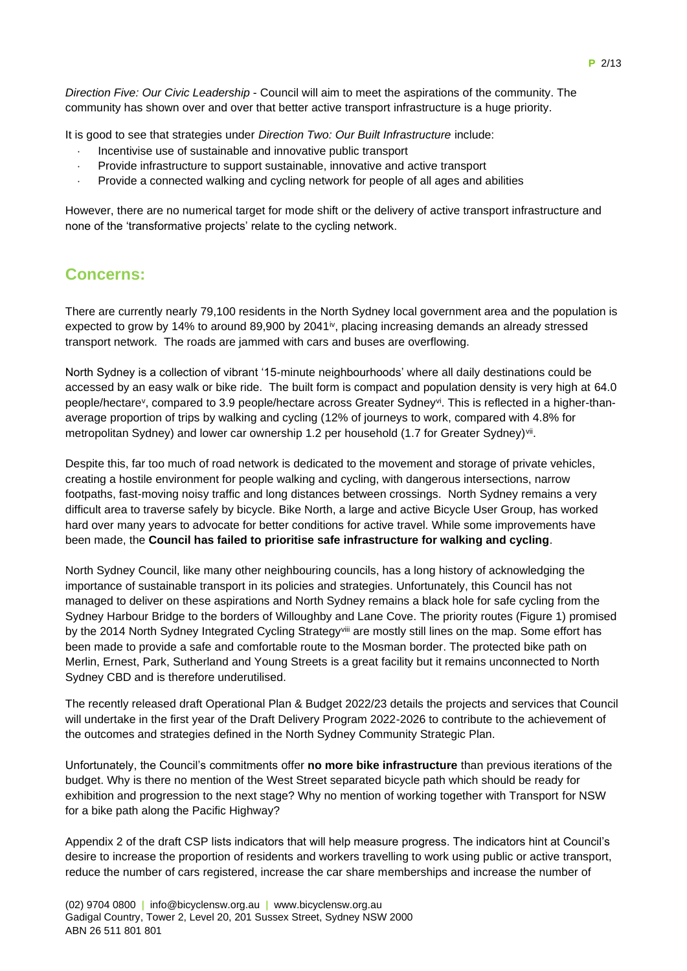*Direction Five: Our Civic Leadership* - Council will aim to meet the aspirations of the community. The community has shown over and over that better active transport infrastructure is a huge priority.

It is good to see that strategies under *Direction Two: Our Built Infrastructure* include:

- Incentivise use of sustainable and innovative public transport
- Provide infrastructure to support sustainable, innovative and active transport
- Provide a connected walking and cycling network for people of all ages and abilities

However, there are no numerical target for mode shift or the delivery of active transport infrastructure and none of the 'transformative projects' relate to the cycling network.

# **Concerns:**

There are currently nearly 79,100 residents in the North Sydney local government area and the population is expected to grow by 14% to around 89,900 by 2041<sup>iv</sup>, placing increasing demands an already stressed transport network. The roads are jammed with cars and buses are overflowing.

North Sydney is a collection of vibrant '15-minute neighbourhoods' where all daily destinations could be accessed by an easy walk or bike ride. The built form is compact and population density is very high at 64.0 people/hectare<sup>v</sup>, compared to 3.9 people/hectare across Greater Sydney<sup>vi</sup>. This is reflected in a higher-thanaverage proportion of trips by walking and cycling (12% of journeys to work, compared with 4.8% for metropolitan Sydney) and lower car ownership 1.2 per household (1.7 for Greater Sydney)<sup>vii</sup>.

Despite this, far too much of road network is dedicated to the movement and storage of private vehicles, creating a hostile environment for people walking and cycling, with dangerous intersections, narrow footpaths, fast-moving noisy traffic and long distances between crossings. North Sydney remains a very difficult area to traverse safely by bicycle. Bike North, a large and active Bicycle User Group, has worked hard over many years to advocate for better conditions for active travel. While some improvements have been made, the **Council has failed to prioritise safe infrastructure for walking and cycling**.

North Sydney Council, like many other neighbouring councils, has a long history of acknowledging the importance of sustainable transport in its policies and strategies. Unfortunately, this Council has not managed to deliver on these aspirations and North Sydney remains a black hole for safe cycling from the Sydney Harbour Bridge to the borders of Willoughby and Lane Cove. The priority routes (Figure 1) promised by the 2014 North Sydney Integrated Cycling Strategyviii are mostly still lines on the map. Some effort has been made to provide a safe and comfortable route to the Mosman border. The protected bike path on Merlin, Ernest, Park, Sutherland and Young Streets is a great facility but it remains unconnected to North Sydney CBD and is therefore underutilised.

The recently released draft Operational Plan & Budget 2022/23 details the projects and services that Council will undertake in the first year of the Draft Delivery Program 2022-2026 to contribute to the achievement of the outcomes and strategies defined in the North Sydney Community Strategic Plan.

Unfortunately, the Council's commitments offer **no more bike infrastructure** than previous iterations of the budget. Why is there no mention of the West Street separated bicycle path which should be ready for exhibition and progression to the next stage? Why no mention of working together with Transport for NSW for a bike path along the Pacific Highway?

Appendix 2 of the draft CSP lists indicators that will help measure progress. The indicators hint at Council's desire to increase the proportion of residents and workers travelling to work using public or active transport, reduce the number of cars registered, increase the car share memberships and increase the number of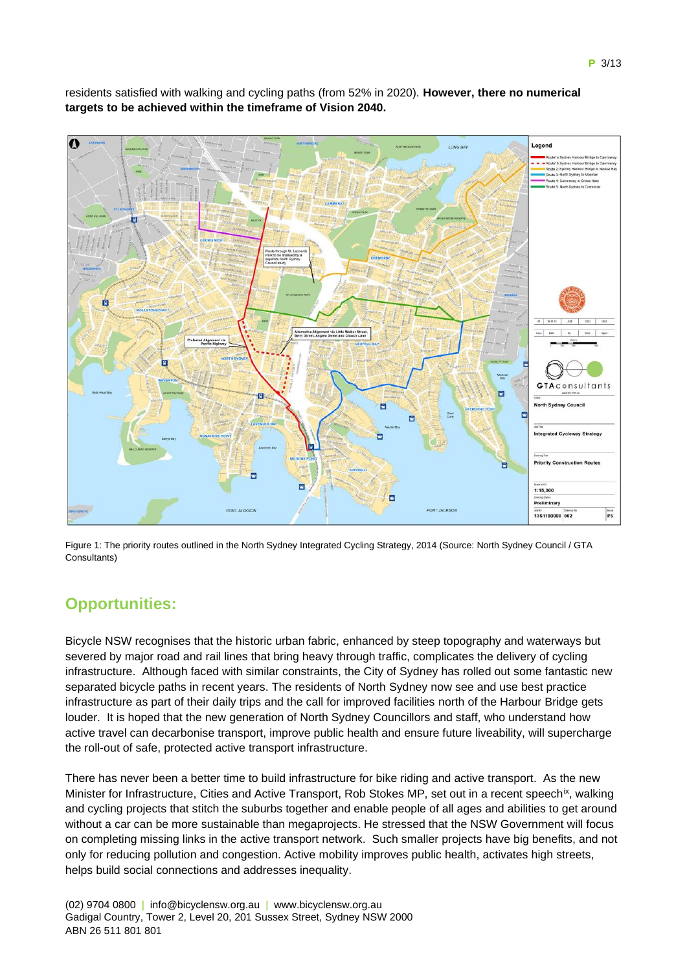

residents satisfied with walking and cycling paths (from 52% in 2020). **However, there no numerical targets to be achieved within the timeframe of Vision 2040.**

Figure 1: The priority routes outlined in the North Sydney Integrated Cycling Strategy, 2014 (Source: North Sydney Council / GTA Consultants)

# **Opportunities:**

Bicycle NSW recognises that the historic urban fabric, enhanced by steep topography and waterways but severed by major road and rail lines that bring heavy through traffic, complicates the delivery of cycling infrastructure. Although faced with similar constraints, the City of Sydney has rolled out some fantastic new separated bicycle paths in recent years. The residents of North Sydney now see and use best practice infrastructure as part of their daily trips and the call for improved facilities north of the Harbour Bridge gets louder. It is hoped that the new generation of North Sydney Councillors and staff, who understand how active travel can decarbonise transport, improve public health and ensure future liveability, will supercharge the roll-out of safe, protected active transport infrastructure.

There has never been a better time to build infrastructure for bike riding and active transport. As the new Minister for Infrastructure, Cities and Active Transport, Rob Stokes MP, set out in a recent speech<sup>ix</sup>, walking and cycling projects that stitch the suburbs together and enable people of all ages and abilities to get around without a car can be more sustainable than megaprojects. He stressed that the NSW Government will focus on completing missing links in the active transport network. Such smaller projects have big benefits, and not only for reducing pollution and congestion. Active mobility improves public health, activates high streets, helps build social connections and addresses inequality.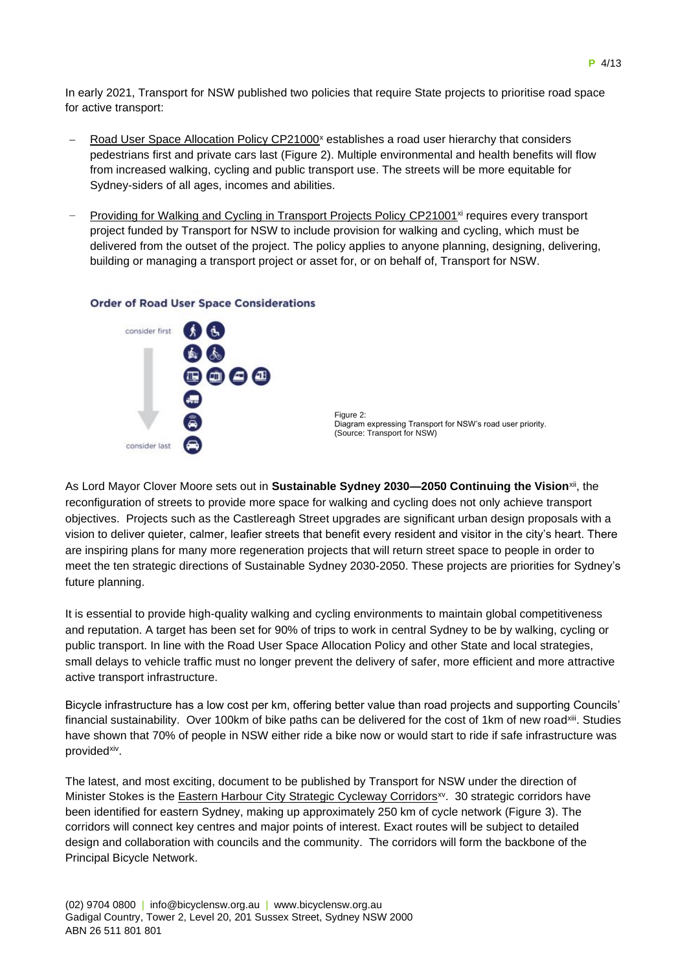In early 2021, Transport for NSW published two policies that require State projects to prioritise road space for active transport:

- Road User Space Allocation Policy CP21000<sup>x</sup> establishes a road user hierarchy that considers pedestrians first and private cars last (Figure 2). Multiple environmental and health benefits will flow from increased walking, cycling and public transport use. The streets will be more equitable for Sydney-siders of all ages, incomes and abilities.
- Providing for Walking and Cycling in Transport Projects Policy CP21001<sup>xi</sup> requires every transport project funded by Transport for NSW to include provision for walking and cycling, which must be delivered from the outset of the project. The policy applies to anyone planning, designing, delivering, building or managing a transport project or asset for, or on behalf of, Transport for NSW.

# consider first 8000 consider last

#### **Order of Road User Space Considerations**

As Lord Mayor Clover Moore sets out in **Sustainable Sydney 2030—2050 Continuing the Vision**<sup>xii</sup>, the reconfiguration of streets to provide more space for walking and cycling does not only achieve transport objectives. Projects such as the Castlereagh Street upgrades are significant urban design proposals with a vision to deliver quieter, calmer, leafier streets that benefit every resident and visitor in the city's heart. There are inspiring plans for many more regeneration projects that will return street space to people in order to meet the ten strategic directions of Sustainable Sydney 2030-2050. These projects are priorities for Sydney's future planning.

It is essential to provide high-quality walking and cycling environments to maintain global competitiveness and reputation. A target has been set for 90% of trips to work in central Sydney to be by walking, cycling or public transport. In line with the Road User Space Allocation Policy and other State and local strategies, small delays to vehicle traffic must no longer prevent the delivery of safer, more efficient and more attractive active transport infrastructure.

Bicycle infrastructure has a low cost per km, offering better value than road projects and supporting Councils' financial sustainability. Over 100km of bike paths can be delivered for the cost of 1km of new road<sup>xiii</sup>. Studies have shown that 70% of people in NSW either ride a bike now or would start to ride if safe infrastructure was provided<sup>xiv</sup>.

The latest, and most exciting, document to be published by Transport for NSW under the direction of Minister Stokes is the Eastern Harbour City Strategic Cycleway Corridors<sup>xv</sup>. 30 strategic corridors have been identified for eastern Sydney, making up approximately 250 km of cycle network (Figure 3). The corridors will connect key centres and major points of interest. Exact routes will be subject to detailed design and collaboration with councils and the community. The corridors will form the backbone of the Principal Bicycle Network.

Figure 2: Diagram expressing Transport for NSW's road user priority. (Source: Transport for NSW)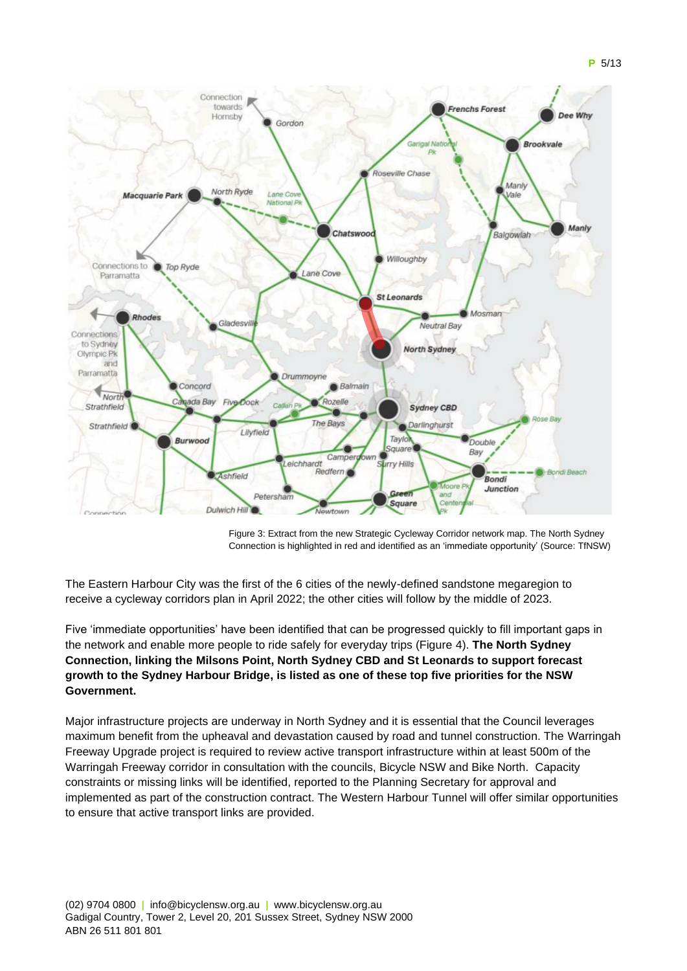

Figure 3: Extract from the new Strategic Cycleway Corridor network map. The North Sydney Connection is highlighted in red and identified as an 'immediate opportunity' (Source: TfNSW)

The Eastern Harbour City was the first of the 6 cities of the newly-defined sandstone megaregion to receive a cycleway corridors plan in April 2022; the other cities will follow by the middle of 2023.

Five 'immediate opportunities' have been identified that can be progressed quickly to fill important gaps in the network and enable more people to ride safely for everyday trips (Figure 4). **The North Sydney Connection, linking the Milsons Point, North Sydney CBD and St Leonards to support forecast growth to the Sydney Harbour Bridge, is listed as one of these top five priorities for the NSW Government.**

Major infrastructure projects are underway in North Sydney and it is essential that the Council leverages maximum benefit from the upheaval and devastation caused by road and tunnel construction. The Warringah Freeway Upgrade project is required to review active transport infrastructure within at least 500m of the Warringah Freeway corridor in consultation with the councils, Bicycle NSW and Bike North. Capacity constraints or missing links will be identified, reported to the Planning Secretary for approval and implemented as part of the construction contract. The Western Harbour Tunnel will offer similar opportunities to ensure that active transport links are provided.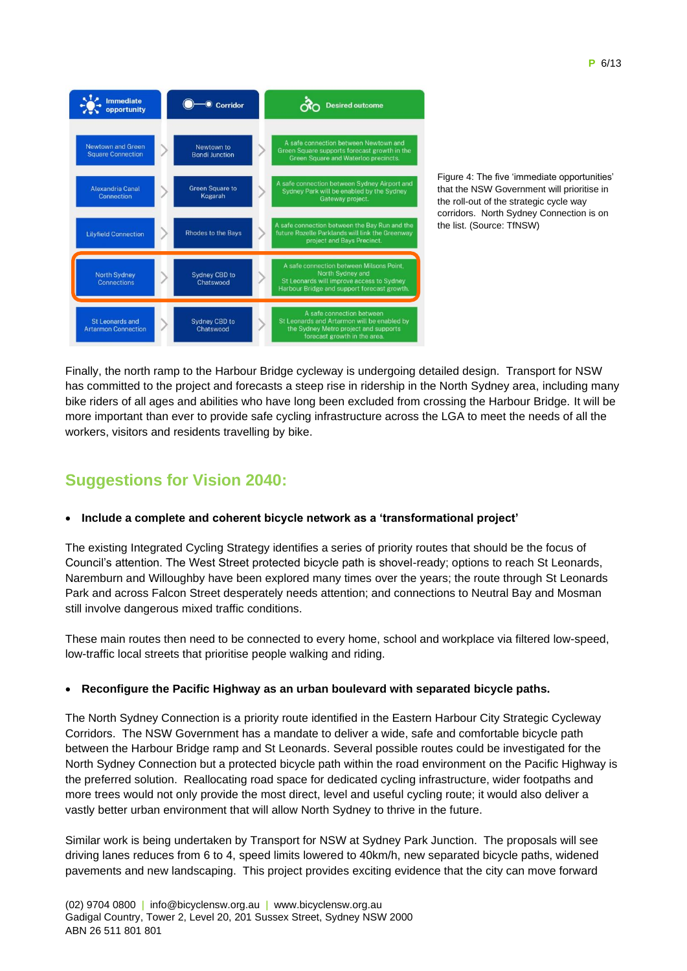

Figure 4: The five 'immediate opportunities' that the NSW Government will prioritise in the roll-out of the strategic cycle way corridors. North Sydney Connection is on the list. (Source: TfNSW)

Finally, the north ramp to the Harbour Bridge cycleway is undergoing detailed design. Transport for NSW has committed to the project and forecasts a steep rise in ridership in the North Sydney area, including many bike riders of all ages and abilities who have long been excluded from crossing the Harbour Bridge. It will be more important than ever to provide safe cycling infrastructure across the LGA to meet the needs of all the workers, visitors and residents travelling by bike.

# **Suggestions for Vision 2040:**

# • **Include a complete and coherent bicycle network as a 'transformational project'**

The existing Integrated Cycling Strategy identifies a series of priority routes that should be the focus of Council's attention. The West Street protected bicycle path is shovel-ready; options to reach St Leonards, Naremburn and Willoughby have been explored many times over the years; the route through St Leonards Park and across Falcon Street desperately needs attention; and connections to Neutral Bay and Mosman still involve dangerous mixed traffic conditions.

These main routes then need to be connected to every home, school and workplace via filtered low-speed, low-traffic local streets that prioritise people walking and riding.

## • **Reconfigure the Pacific Highway as an urban boulevard with separated bicycle paths.**

The North Sydney Connection is a priority route identified in the Eastern Harbour City Strategic Cycleway Corridors. The NSW Government has a mandate to deliver a wide, safe and comfortable bicycle path between the Harbour Bridge ramp and St Leonards. Several possible routes could be investigated for the North Sydney Connection but a protected bicycle path within the road environment on the Pacific Highway is the preferred solution. Reallocating road space for dedicated cycling infrastructure, wider footpaths and more trees would not only provide the most direct, level and useful cycling route; it would also deliver a vastly better urban environment that will allow North Sydney to thrive in the future.

Similar work is being undertaken by Transport for NSW at Sydney Park Junction. The proposals will see driving lanes reduces from 6 to 4, speed limits lowered to 40km/h, new separated bicycle paths, widened pavements and new landscaping. This project provides exciting evidence that the city can move forward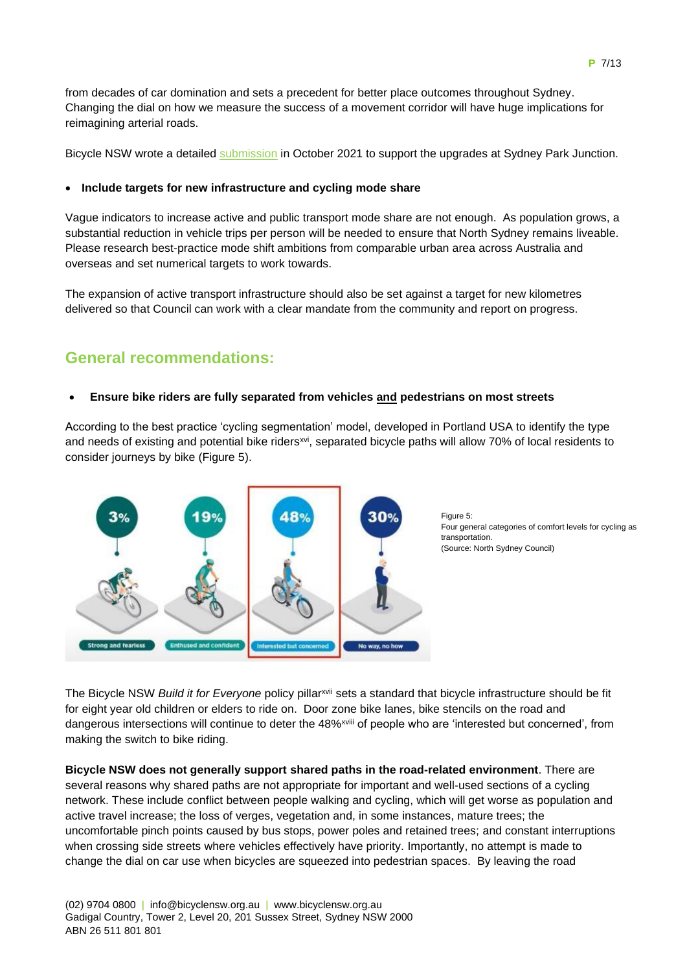from decades of car domination and sets a precedent for better place outcomes throughout Sydney. Changing the dial on how we measure the success of a movement corridor will have huge implications for reimagining arterial roads.

Bicycle NSW wrote a detailed submission in October 2021 to support the upgrades at Sydney Park Junction.

# • **Include targets for new infrastructure and cycling mode share**

Vague indicators to increase active and public transport mode share are not enough. As population grows, a substantial reduction in vehicle trips per person will be needed to ensure that North Sydney remains liveable. Please research best-practice mode shift ambitions from comparable urban area across Australia and overseas and set numerical targets to work towards.

The expansion of active transport infrastructure should also be set against a target for new kilometres delivered so that Council can work with a clear mandate from the community and report on progress.

# **General recommendations:**

# • **Ensure bike riders are fully separated from vehicles and pedestrians on most streets**

According to the best practice 'cycling segmentation' model, developed in Portland USA to identify the type and needs of existing and potential bike riders<sup>xvi</sup>, separated bicycle paths will allow 70% of local residents to consider journeys by bike (Figure 5).



Figure 5: Four general categories of comfort levels for cycling as transportation. (Source: North Sydney Council)

The Bicycle NSW *Build it for Everyone* policy pillarxvii sets a standard that bicycle infrastructure should be fit for eight year old children or elders to ride on. Door zone bike lanes, bike stencils on the road and dangerous intersections will continue to deter the 48%<sup>xviii</sup> of people who are 'interested but concerned', from making the switch to bike riding.

**Bicycle NSW does not generally support shared paths in the road-related environment**. There are several reasons why shared paths are not appropriate for important and well-used sections of a cycling network. These include conflict between people walking and cycling, which will get worse as population and active travel increase; the loss of verges, vegetation and, in some instances, mature trees; the uncomfortable pinch points caused by bus stops, power poles and retained trees; and constant interruptions when crossing side streets where vehicles effectively have priority. Importantly, no attempt is made to change the dial on car use when bicycles are squeezed into pedestrian spaces. By leaving the road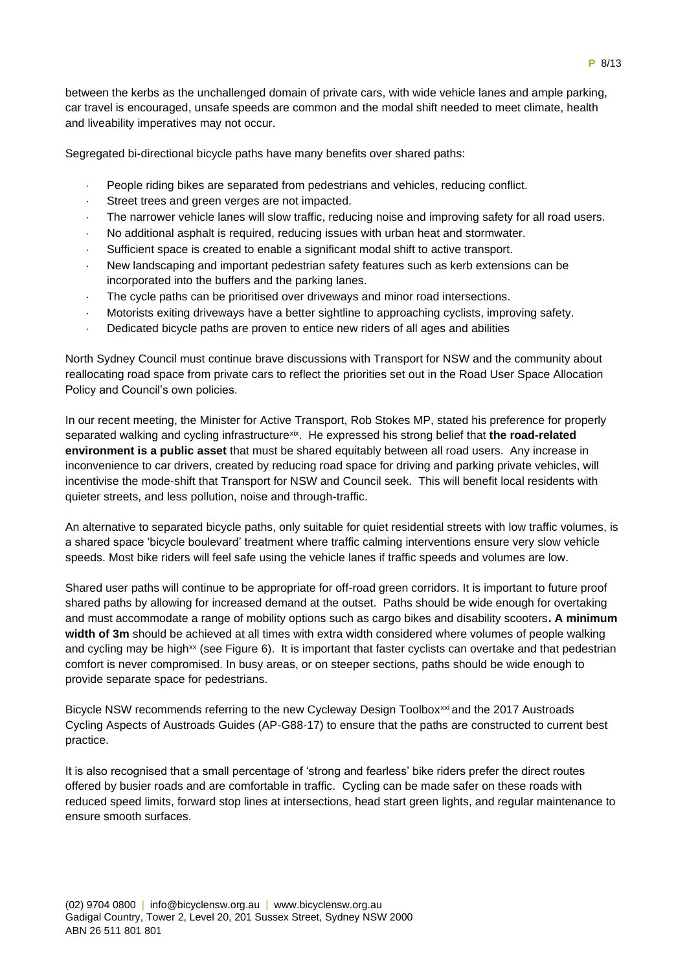between the kerbs as the unchallenged domain of private cars, with wide vehicle lanes and ample parking, car travel is encouraged, unsafe speeds are common and the modal shift needed to meet climate, health and liveability imperatives may not occur.

Segregated bi-directional bicycle paths have many benefits over shared paths:

- People riding bikes are separated from pedestrians and vehicles, reducing conflict.
- Street trees and green verges are not impacted.
- The narrower vehicle lanes will slow traffic, reducing noise and improving safety for all road users.
- No additional asphalt is required, reducing issues with urban heat and stormwater.
- Sufficient space is created to enable a significant modal shift to active transport.
- New landscaping and important pedestrian safety features such as kerb extensions can be incorporated into the buffers and the parking lanes.
- The cycle paths can be prioritised over driveways and minor road intersections.
- Motorists exiting driveways have a better sightline to approaching cyclists, improving safety.
- Dedicated bicycle paths are proven to entice new riders of all ages and abilities

North Sydney Council must continue brave discussions with Transport for NSW and the community about reallocating road space from private cars to reflect the priorities set out in the Road User Space Allocation Policy and Council's own policies.

In our recent meeting, the Minister for Active Transport, Rob Stokes MP, stated his preference for properly separated walking and cycling infrastructure<sup>xix</sup>. He expressed his strong belief that **the road-related environment is a public asset** that must be shared equitably between all road users. Any increase in inconvenience to car drivers, created by reducing road space for driving and parking private vehicles, will incentivise the mode-shift that Transport for NSW and Council seek. This will benefit local residents with quieter streets, and less pollution, noise and through-traffic.

An alternative to separated bicycle paths, only suitable for quiet residential streets with low traffic volumes, is a shared space 'bicycle boulevard' treatment where traffic calming interventions ensure very slow vehicle speeds. Most bike riders will feel safe using the vehicle lanes if traffic speeds and volumes are low.

Shared user paths will continue to be appropriate for off-road green corridors. It is important to future proof shared paths by allowing for increased demand at the outset. Paths should be wide enough for overtaking and must accommodate a range of mobility options such as cargo bikes and disability scooters**. A minimum width of 3m** should be achieved at all times with extra width considered where volumes of people walking and cycling may be high<sup>xx</sup> (see Figure 6). It is important that faster cyclists can overtake and that pedestrian comfort is never compromised. In busy areas, or on steeper sections, paths should be wide enough to provide separate space for pedestrians.

Bicycle NSW recommends referring to the new Cycleway Design Toolbox<sup>xxi</sup> and the 2017 Austroads Cycling Aspects of Austroads Guides (AP-G88-17) to ensure that the paths are constructed to current best practice.

It is also recognised that a small percentage of 'strong and fearless' bike riders prefer the direct routes offered by busier roads and are comfortable in traffic. Cycling can be made safer on these roads with reduced speed limits, forward stop lines at intersections, head start green lights, and regular maintenance to ensure smooth surfaces.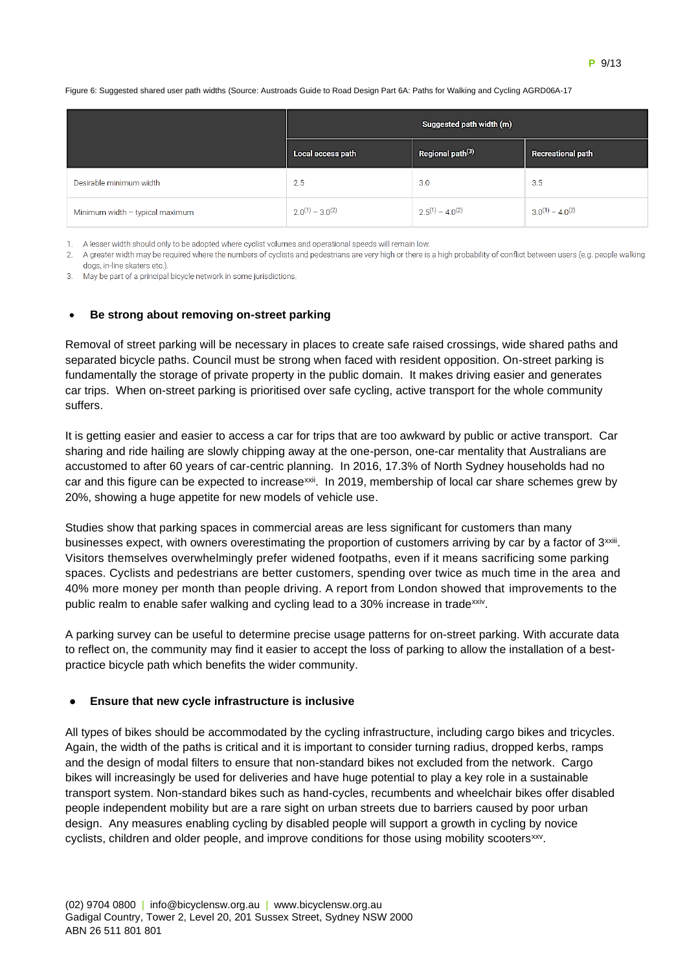

#### Figure 6: Suggested shared user path widths (Source: Austroads Guide to Road Design Part 6A: Paths for Walking and Cycling AGRD06A-17

|                                 | Suggested path width (m) |                              |                          |
|---------------------------------|--------------------------|------------------------------|--------------------------|
|                                 | Local access path        | Regional path <sup>(3)</sup> | <b>Recreational path</b> |
| Desirable minimum width         | 2.5                      | 3.0                          | 3.5                      |
| Minimum width - typical maximum | $2.0^{(1)} - 3.0^{(2)}$  | $2.5^{(1)} - 4.0^{(2)}$      | $3.0^{(1)} - 4.0^{(2)}$  |

1. A lesser width should only to be adopted where cyclist volumes and operational speeds will remain low.

2. A greater width may be required where the numbers of cyclists and pedestrians are very high or there is a high probability of conflict between users (e.g. people walking dogs, in-line skaters etc.)

3. May be part of a principal bicycle network in some jurisdictions.

#### • **Be strong about removing on-street parking**

Removal of street parking will be necessary in places to create safe raised crossings, wide shared paths and separated bicycle paths. Council must be strong when faced with resident opposition. On-street parking is fundamentally the storage of private property in the public domain. It makes driving easier and generates car trips. When on-street parking is prioritised over safe cycling, active transport for the whole community suffers.

It is getting easier and easier to access a car for trips that are too awkward by public or active transport. Car sharing and ride hailing are slowly chipping away at the one-person, one-car mentality that Australians are accustomed to after 60 years of car-centric planning. In 2016, 17.3% of North Sydney households had no car and this figure can be expected to increase<sup>xxii</sup>. In 2019, membership of local car share schemes grew by 20%, showing a huge appetite for new models of vehicle use.

Studies show that parking spaces in commercial areas are less significant for customers than many businesses expect, with owners overestimating the proportion of customers arriving by car by a factor of 3<sup>xxiii</sup>. Visitors themselves overwhelmingly prefer widened footpaths, even if it means sacrificing some parking spaces. Cyclists and pedestrians are better customers, spending over twice as much time in the area and 40% more money per month than people driving. A report from London showed that improvements to the public realm to enable safer walking and cycling lead to a 30% increase in trade<sup>xxiv</sup>.

A parking survey can be useful to determine precise usage patterns for on-street parking. With accurate data to reflect on, the community may find it easier to accept the loss of parking to allow the installation of a bestpractice bicycle path which benefits the wider community.

#### **Ensure that new cycle infrastructure is inclusive**

All types of bikes should be accommodated by the cycling infrastructure, including cargo bikes and tricycles. Again, the width of the paths is critical and it is important to consider turning radius, dropped kerbs, ramps and the design of modal filters to ensure that non-standard bikes not excluded from the network. Cargo bikes will increasingly be used for deliveries and have huge potential to play a key role in a sustainable transport system. Non-standard bikes such as hand-cycles, recumbents and wheelchair bikes offer disabled people independent mobility but are a rare sight on urban streets due to barriers caused by poor urban design. Any measures enabling cycling by disabled people will support a growth in cycling by novice cyclists, children and older people, and improve conditions for those using mobility scooters<sup>xxv</sup>.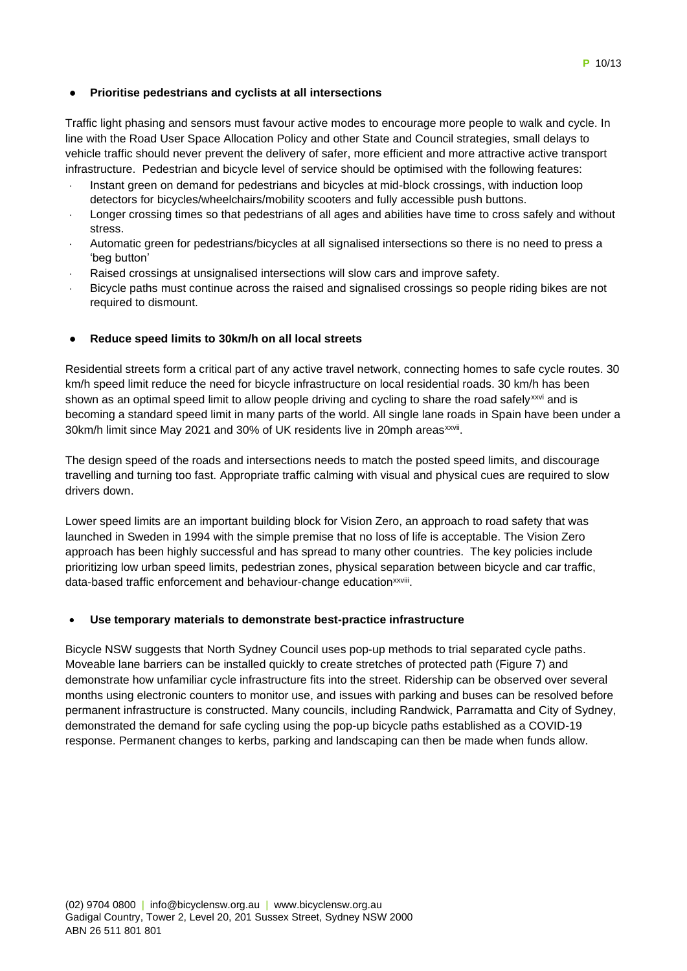## ● **Prioritise pedestrians and cyclists at all intersections**

Traffic light phasing and sensors must favour active modes to encourage more people to walk and cycle. In line with the Road User Space Allocation Policy and other State and Council strategies, small delays to vehicle traffic should never prevent the delivery of safer, more efficient and more attractive active transport infrastructure. Pedestrian and bicycle level of service should be optimised with the following features:

- Instant green on demand for pedestrians and bicycles at mid-block crossings, with induction loop detectors for bicycles/wheelchairs/mobility scooters and fully accessible push buttons.
- Longer crossing times so that pedestrians of all ages and abilities have time to cross safely and without stress.
- Automatic green for pedestrians/bicycles at all signalised intersections so there is no need to press a 'beg button'
- Raised crossings at unsignalised intersections will slow cars and improve safety.
- Bicycle paths must continue across the raised and signalised crossings so people riding bikes are not required to dismount.

## ● **Reduce speed limits to 30km/h on all local streets**

Residential streets form a critical part of any active travel network, connecting homes to safe cycle routes. 30 km/h speed limit reduce the need for bicycle infrastructure on local residential roads. 30 km/h has been shown as an optimal speed limit to allow people driving and cycling to share the road safelyxxvi and is becoming a standard speed limit in many parts of the world. All single lane roads in Spain have been under a 30km/h limit since May 2021 and 30% of UK residents live in 20mph areas<sup>xxvii</sup>.

The design speed of the roads and intersections needs to match the posted speed limits, and discourage travelling and turning too fast. Appropriate traffic calming with visual and physical cues are required to slow drivers down.

Lower speed limits are an important building block for Vision Zero, an approach to road safety that was launched in Sweden in 1994 with the simple premise that no loss of life is acceptable. The Vision Zero approach has been highly successful and has spread to many other countries. The key policies include prioritizing low urban speed limits, pedestrian zones, physical separation between bicycle and car traffic, data-based traffic enforcement and behaviour-change education<sup>xxviii</sup>.

## • **Use temporary materials to demonstrate best-practice infrastructure**

Bicycle NSW suggests that North Sydney Council uses pop-up methods to trial separated cycle paths. Moveable lane barriers can be installed quickly to create stretches of protected path (Figure 7) and demonstrate how unfamiliar cycle infrastructure fits into the street. Ridership can be observed over several months using electronic counters to monitor use, and issues with parking and buses can be resolved before permanent infrastructure is constructed. Many councils, including Randwick, Parramatta and City of Sydney, demonstrated the demand for safe cycling using the pop-up bicycle paths established as a COVID-19 response. Permanent changes to kerbs, parking and landscaping can then be made when funds allow.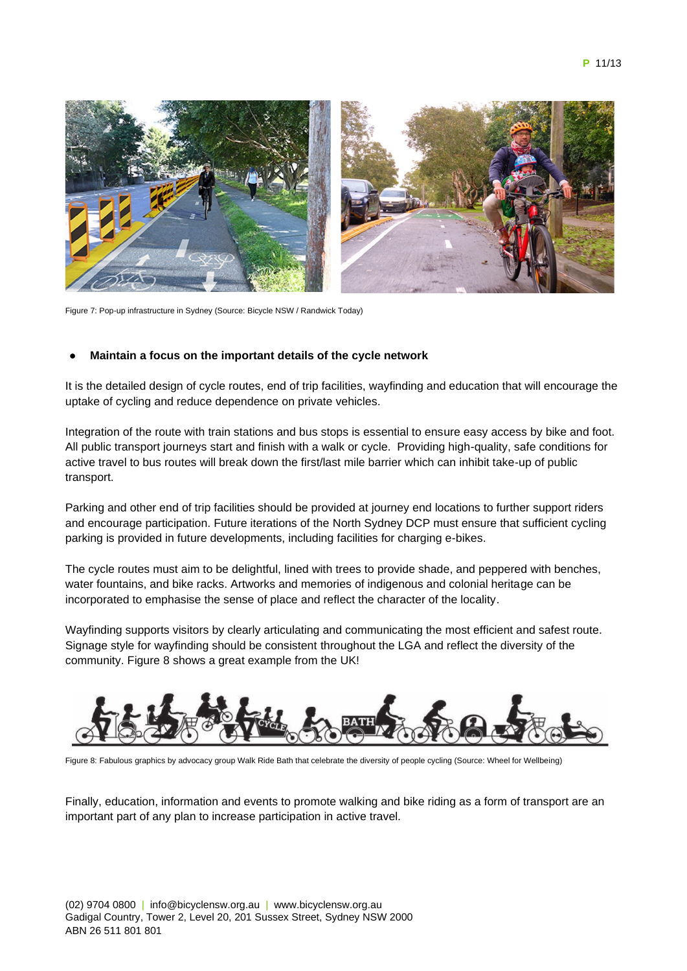

Figure 7: Pop-up infrastructure in Sydney (Source: Bicycle NSW / Randwick Today)

### **Maintain a focus on the important details of the cycle network**

It is the detailed design of cycle routes, end of trip facilities, wayfinding and education that will encourage the uptake of cycling and reduce dependence on private vehicles.

Integration of the route with train stations and bus stops is essential to ensure easy access by bike and foot. All public transport journeys start and finish with a walk or cycle. Providing high-quality, safe conditions for active travel to bus routes will break down the first/last mile barrier which can inhibit take-up of public transport.

Parking and other end of trip facilities should be provided at journey end locations to further support riders and encourage participation. Future iterations of the North Sydney DCP must ensure that sufficient cycling parking is provided in future developments, including facilities for charging e-bikes.

The cycle routes must aim to be delightful, lined with trees to provide shade, and peppered with benches, water fountains, and bike racks. Artworks and memories of indigenous and colonial heritage can be incorporated to emphasise the sense of place and reflect the character of the locality.

Wayfinding supports visitors by clearly articulating and communicating the most efficient and safest route. Signage style for wayfinding should be consistent throughout the LGA and reflect the diversity of the community. Figure 8 shows a great example from the UK!



Figure 8: Fabulous graphics by advocacy group Walk Ride Bath that celebrate the diversity of people cycling (Source: Wheel for Wellbeing)

Finally, education, information and events to promote walking and bike riding as a form of transport are an important part of any plan to increase participation in active travel.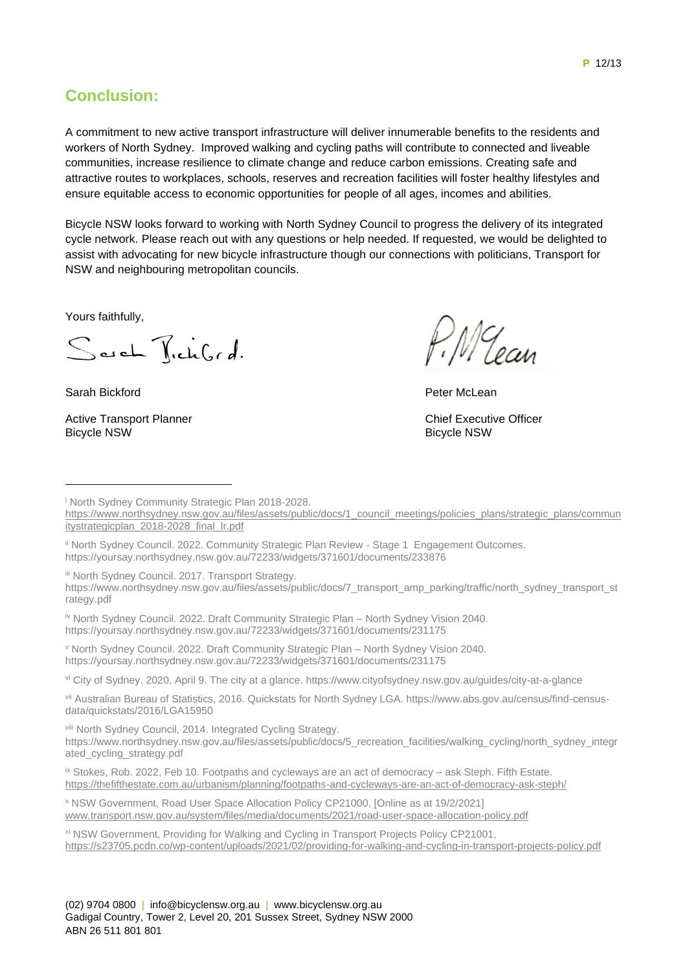**Conclusion:** 

A commitment to new active transport infrastructure will deliver innumerable benefits to the residents and workers of North Sydney. Improved walking and cycling paths will contribute to connected and liveable communities, increase resilience to climate change and reduce carbon emissions. Creating safe and attractive routes to workplaces, schools, reserves and recreation facilities will foster healthy lifestyles and ensure equitable access to economic opportunities for people of all ages, incomes and abilities.

Bicycle NSW looks forward to working with North Sydney Council to progress the delivery of its integrated cycle network. Please reach out with any questions or help needed. If requested, we would be delighted to assist with advocating for new bicycle infrastructure though our connections with politicians, Transport for NSW and neighbouring metropolitan councils.

Yours faithfully,

Sarch TichGrd.

Sarah Bickford

Active Transport Planner Bicycle NSW

MG

Peter McLean

Chief Executive Officer Bicycle NSW

<sup>i</sup> North Sydney Community Strategic Plan 2018-2028.

iii North Sydney Council. 2017. Transport Strategy.

iv North Sydney Council. 2022. Draft Community Strategic Plan - North Sydney Vision 2040. https://yoursay.northsydney.nsw.gov.au/72233/widgets/371601/documents/231175

<sup>v</sup> North Sydney Council. 2022. Draft Community Strategic Plan – North Sydney Vision 2040. https://yoursay.northsydney.nsw.gov.au/72233/widgets/371601/documents/231175

vi City of Sydney. 2020, April 9. The city at a glance. https://www.cityofsydney.nsw.gov.au/guides/city-at-a-glance

vii Australian Bureau of Statistics, 2016. Quickstats for North Sydney LGA. https://www.abs.gov.au/census/find-censusdata/quickstats/2016/LGA15950

viii North Sydney Council, 2014. Integrated Cycling Strategy.

https://www.northsydney.nsw.gov.au/files/assets/public/docs/5\_recreation\_facilities/walking\_cycling/north\_sydney\_integr ated\_cycling\_strategy.pdf

ix Stokes, Rob. 2022, Feb 10. Footpaths and cycleways are an act of democracy - ask Steph. Fifth Estate. https://thefifthestate.com.au/urbanism/planning/footpaths-and-cycleways-are-an-act-of-democracy-ask-steph/

<sup>x</sup> NSW Government, Road User Space Allocation Policy CP21000, [Online as at 19/2/2021] www.transport.nsw.gov.au/system/files/media/documents/2021/road-user-space-allocation-policy.pdf

xi NSW Government, Providing for Walking and Cycling in Transport Projects Policy CP21001, https://s23705.pcdn.co/wp-content/uploads/2021/02/providing-for-walking-and-cycling-in-transport-projects-policy.pdf

https://www.northsydney.nsw.gov.au/files/assets/public/docs/1\_council\_meetings/policies\_plans/strategic\_plans/commun itystrategicplan\_2018-2028\_final\_lr.pdf

ii North Sydney Council. 2022. Community Strategic Plan Review - Stage 1 Engagement Outcomes. https://yoursay.northsydney.nsw.gov.au/72233/widgets/371601/documents/233876

https://www.northsydney.nsw.gov.au/files/assets/public/docs/7\_transport\_amp\_parking/traffic/north\_sydney\_transport\_st rategy.pdf